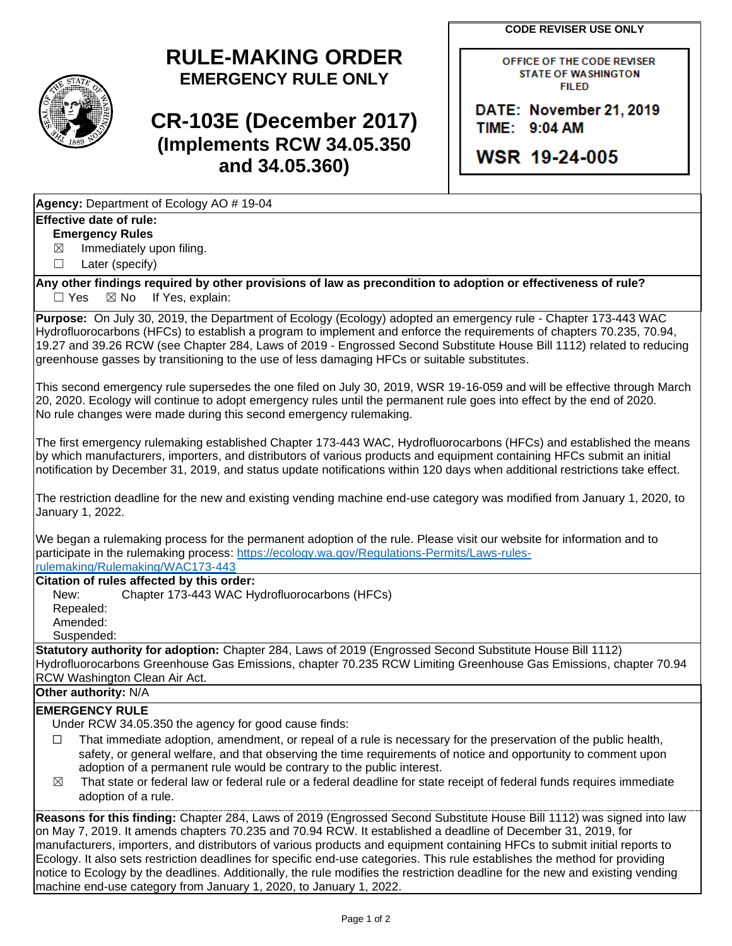**CODE REVISER USE ONLY**



# **RULE-MAKING ORDER EMERGENCY RULE ONLY**

# **CR-103E (December 2017) (Implements RCW 34.05.350 and 34.05.360)**

OFFICE OF THE CODE REVISER **STATE OF WASHINGTON FILED** 

DATE: November 21, 2019 TIME: 9:04 AM

WSR 19-24-005

**Agency:** Department of Ecology AO # 19-04

## **Effective date of rule:**

#### **Emergency Rules**

 $\boxtimes$  Immediately upon filing.

☐ Later (specify)

**Any other findings required by other provisions of law as precondition to adoption or effectiveness of rule?**  $\Box$  Yes  $\boxtimes$  No If Yes, explain:

**Purpose:** On July 30, 2019, the Department of Ecology (Ecology) adopted an emergency rule - Chapter 173-443 WAC Hydrofluorocarbons (HFCs) to establish a program to implement and enforce the requirements of chapters 70.235, 70.94, 19.27 and 39.26 RCW (see Chapter 284, Laws of 2019 - Engrossed Second Substitute House Bill 1112) related to reducing greenhouse gasses by transitioning to the use of less damaging HFCs or suitable substitutes.

This second emergency rule supersedes the one filed on July 30, 2019, WSR 19-16-059 and will be effective through March 20, 2020. Ecology will continue to adopt emergency rules until the permanent rule goes into effect by the end of 2020. No rule changes were made during this second emergency rulemaking.

The first emergency rulemaking established Chapter 173-443 WAC, Hydrofluorocarbons (HFCs) and established the means by which manufacturers, importers, and distributors of various products and equipment containing HFCs submit an initial notification by December 31, 2019, and status update notifications within 120 days when additional restrictions take effect.

The restriction deadline for the new and existing vending machine end-use category was modified from January 1, 2020, to January 1, 2022.

We began a rulemaking process for the permanent adoption of the rule. Please visit our website for information and to participate in the rulemaking process: [https://ecology.wa.gov/Regulations-Permits/Laws-rules](https://ecology.wa.gov/Regulations-Permits/Laws-rules-rulemaking/Rulemaking/WAC173-443)[rulemaking/Rulemaking/WAC173-443](https://ecology.wa.gov/Regulations-Permits/Laws-rules-rulemaking/Rulemaking/WAC173-443)

### **Citation of rules affected by this order:**

New: Chapter 173-443 WAC Hydrofluorocarbons (HFCs) Repealed: Amended: Suspended:

**Statutory authority for adoption:** Chapter 284, Laws of 2019 (Engrossed Second Substitute House Bill 1112) Hydrofluorocarbons Greenhouse Gas Emissions, chapter 70.235 RCW Limiting Greenhouse Gas Emissions, chapter 70.94 RCW Washington Clean Air Act.

# **Other authority:** N/A

### **EMERGENCY RULE**

Under RCW 34.05.350 the agency for good cause finds:

- $\Box$  That immediate adoption, amendment, or repeal of a rule is necessary for the preservation of the public health, safety, or general welfare, and that observing the time requirements of notice and opportunity to comment upon adoption of a permanent rule would be contrary to the public interest.
- $\boxtimes$  That state or federal law or federal rule or a federal deadline for state receipt of federal funds requires immediate adoption of a rule.

**Reasons for this finding:** Chapter 284, Laws of 2019 (Engrossed Second Substitute House Bill 1112) was signed into law on May 7, 2019. It amends chapters 70.235 and 70.94 RCW. It established a deadline of December 31, 2019, for manufacturers, importers, and distributors of various products and equipment containing HFCs to submit initial reports to Ecology. It also sets restriction deadlines for specific end-use categories. This rule establishes the method for providing notice to Ecology by the deadlines. Additionally, the rule modifies the restriction deadline for the new and existing vending machine end-use category from January 1, 2020, to January 1, 2022.